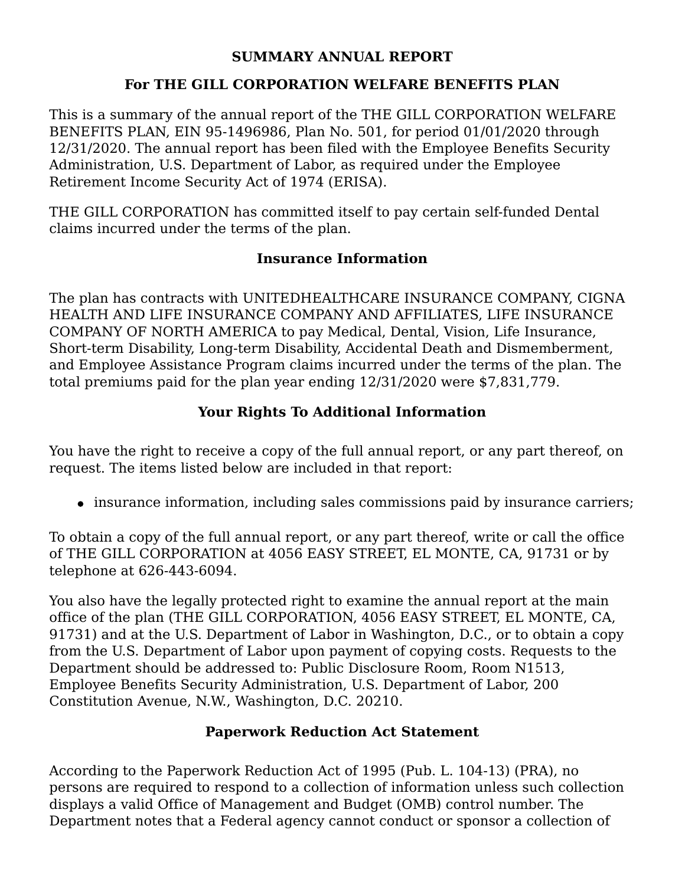#### **SUMMARY ANNUAL REPORT**

### **For THE GILL CORPORATION WELFARE BENEFITS PLAN**

This is a summary of the annual report of the THE GILL CORPORATION WELFARE BENEFITS PLAN, EIN 95-1496986, Plan No. 501, for period 01/01/2020 through 12/31/2020. The annual report has been filed with the Employee Benefits Security Administration, U.S. Department of Labor, as required under the Employee Retirement Income Security Act of 1974 (ERISA).

THE GILL CORPORATION has committed itself to pay certain self-funded Dental claims incurred under the terms of the plan.

### **Insurance Information**

The plan has contracts with UNITEDHEALTHCARE INSURANCE COMPANY, CIGNA HEALTH AND LIFE INSURANCE COMPANY AND AFFILIATES, LIFE INSURANCE COMPANY OF NORTH AMERICA to pay Medical, Dental, Vision, Life Insurance, Short-term Disability, Long-term Disability, Accidental Death and Dismemberment, and Employee Assistance Program claims incurred under the terms of the plan. The total premiums paid for the plan year ending 12/31/2020 were \$7,831,779.

# **Your Rights To Additional Information**

You have the right to receive a copy of the full annual report, or any part thereof, on request. The items listed below are included in that report:

• insurance information, including sales commissions paid by insurance carriers;

To obtain a copy of the full annual report, or any part thereof, write or call the office of THE GILL CORPORATION at 4056 EASY STREET, EL MONTE, CA, 91731 or by telephone at 626-443-6094.

You also have the legally protected right to examine the annual report at the main office of the plan (THE GILL CORPORATION, 4056 EASY STREET, EL MONTE, CA, 91731) and at the U.S. Department of Labor in Washington, D.C., or to obtain a copy from the U.S. Department of Labor upon payment of copying costs. Requests to the Department should be addressed to: Public Disclosure Room, Room N1513, Employee Benefits Security Administration, U.S. Department of Labor, 200 Constitution Avenue, N.W., Washington, D.C. 20210.

## **Paperwork Reduction Act Statement**

According to the Paperwork Reduction Act of 1995 (Pub. L. 104-13) (PRA), no persons are required to respond to a collection of information unless such collection displays a valid Office of Management and Budget (OMB) control number. The Department notes that a Federal agency cannot conduct or sponsor a collection of